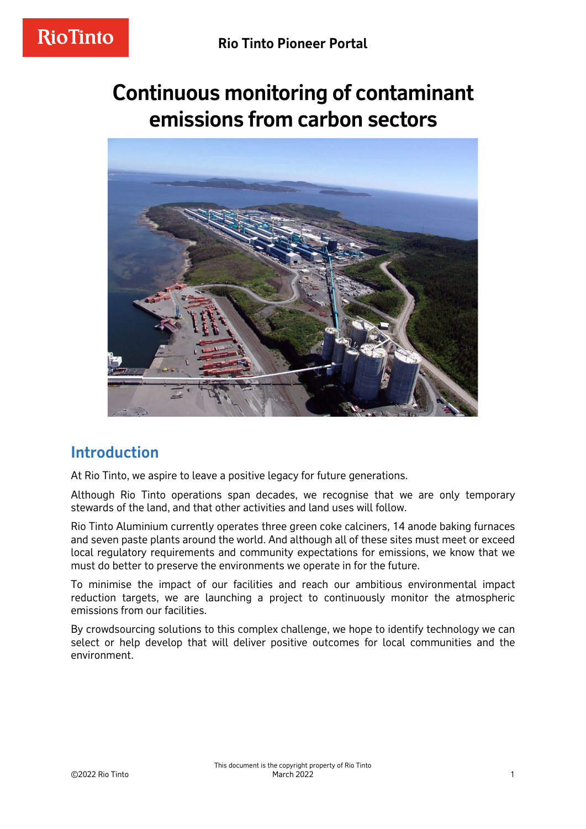# **Continuous monitoring of contaminant emissions from carbon sectors**



### **Introduction**

At Rio Tinto, we aspire to leave a positive legacy for future generations.

Although Rio Tinto operations span decades, we recognise that we are only temporary stewards of the land, and that other activities and land uses will follow.

Rio Tinto Aluminium currently operates three green coke calciners, 14 anode baking furnaces and seven paste plants around the world. And although all of these sites must meet or exceed local regulatory requirements and community expectations for emissions, we know that we must do better to preserve the environments we operate in for the future.

To minimise the impact of our facilities and reach our ambitious environmental impact reduction targets, we are launching a project to continuously monitor the atmospheric emissions from our facilities.

By crowdsourcing solutions to this complex challenge, we hope to identify technology we can select or help develop that will deliver positive outcomes for local communities and the environment.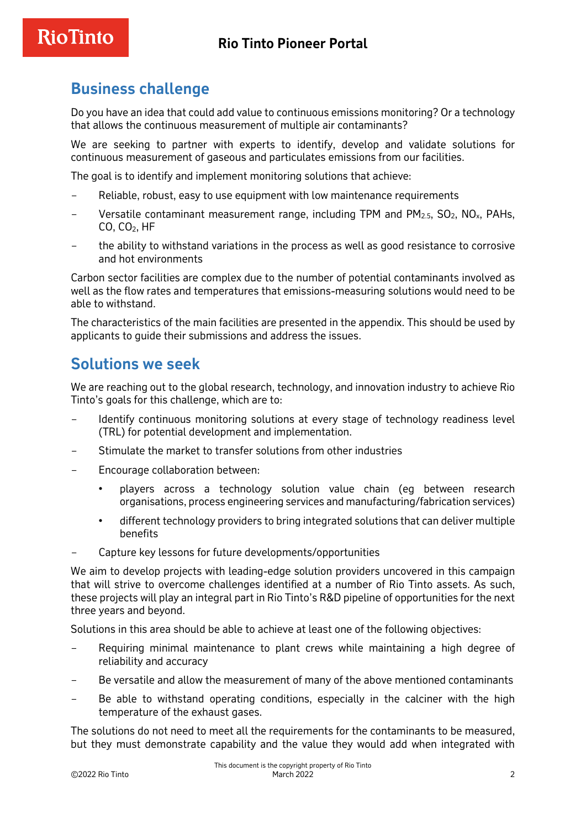# **RioTinto**

# **Business challenge**

Do you have an idea that could add value to continuous emissions monitoring? Or a technology that allows the continuous measurement of multiple air contaminants?

We are seeking to partner with experts to identify, develop and validate solutions for continuous measurement of gaseous and particulates emissions from our facilities.

The goal is to identify and implement monitoring solutions that achieve:

- Reliable, robust, easy to use equipment with low maintenance requirements
- Versatile contaminant measurement range, including TPM and  $PM_{2.5}$ , SO<sub>2</sub>, NO<sub>x</sub>, PAHs, CO, CO2, HF
- the ability to withstand variations in the process as well as good resistance to corrosive and hot environments

Carbon sector facilities are complex due to the number of potential contaminants involved as well as the flow rates and temperatures that emissions-measuring solutions would need to be able to withstand.

The characteristics of the main facilities are presented in the appendix. This should be used by applicants to guide their submissions and address the issues.

#### **Solutions we seek**

We are reaching out to the global research, technology, and innovation industry to achieve Rio Tinto's goals for this challenge, which are to:

- Identify continuous monitoring solutions at every stage of technology readiness level (TRL) for potential development and implementation.
- Stimulate the market to transfer solutions from other industries
- Encourage collaboration between:
	- players across a technology solution value chain (eg between research organisations, process engineering services and manufacturing/fabrication services)
	- different technology providers to bring integrated solutions that can deliver multiple benefits
- Capture key lessons for future developments/opportunities

We aim to develop projects with leading-edge solution providers uncovered in this campaign that will strive to overcome challenges identified at a number of Rio Tinto assets. As such, these projects will play an integral part in Rio Tinto's R&D pipeline of opportunities for the next three years and beyond.

Solutions in this area should be able to achieve at least one of the following objectives:

- Requiring minimal maintenance to plant crews while maintaining a high degree of reliability and accuracy
- Be versatile and allow the measurement of many of the above mentioned contaminants
- Be able to withstand operating conditions, especially in the calciner with the high temperature of the exhaust gases.

The solutions do not need to meet all the requirements for the contaminants to be measured, but they must demonstrate capability and the value they would add when integrated with